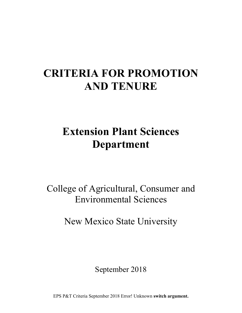# **CRITERIA FOR PROMOTION AND TENURE**

# **Extension Plant Sciences Department**

College of Agricultural, Consumer and Environmental Sciences

New Mexico State University

September 2018

EPS P&T Criteria September 2018 Error! Unknown **switch argument.**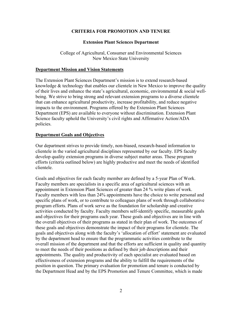### **CRITERIA FOR PROMOTION AND TENURE**

#### **Extension Plant Sciences Department**

College of Agricultural, Consumer and Environmental Sciences New Mexico State University

#### **Department Mission and Vision Statements**

The Extension Plant Sciences Department's mission is to extend research-based knowledge & technology that enables our clientele in New Mexico to improve the quality of their lives and enhance the state's agricultural, economic, environmental  $\&$  social wellbeing. We strive to bring strong and relevant extension programs to a diverse clientele that can enhance agricultural productivity, increase profitability, and reduce negative impacts to the environment. Programs offered by the Extension Plant Sciences Department (EPS) are available to everyone without discrimination. Extension Plant Science faculty uphold the University's civil rights and Affirmative Action/ADA policies.

### **Department Goals and Objectives**

 clientele in the varied agricultural disciplines represented by our faculty. EPS faculty Our department strives to provide timely, non-biased, research-based information to develop quality extension programs in diverse subject matter areas. These program efforts (criteria outlined below) are highly productive and meet the needs of identified clientele.

 Faculty members are specialists in a specific area of agricultural sciences with an appointment in Extension Plant Sciences of greater than 24 % write plans of work. the Department Head and by the EPS Promotion and Tenure Committee, which is made Goals and objectives for each faculty member are defined by a 5-year Plan of Work. Faculty members with less than 24% appointments have the choice to write personal and specific plans of work, or to contribute to colleagues plans of work through collaborative program efforts. Plans of work serve as the foundation for scholarship and creative activities conducted by faculty. Faculty members self-identify specific, measurable goals and objectives for their programs each year. These goals and objectives are in line with the overall objectives of their programs as stated in their plan of work. The outcomes of these goals and objectives demonstrate the impact of their programs for clientele. The goals and objectives along with the faculty's 'allocation of effort' statement are evaluated by the department head to ensure that the programmatic activities contribute to the overall mission of the department and that the efforts are sufficient in quality and quantity to meet the needs of their positions as defined by their job descriptions and their appointments. The quality and productivity of each specialist are evaluated based on effectiveness of extension programs and the ability to fulfill the requirements of the position in question. The primary evaluation for promotion and tenure is conducted by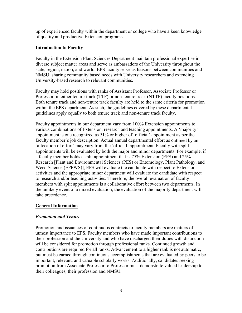up of experienced faculty within the department or college who have a keen knowledge of quality and productive Extension programs.

## **Introduction to Faculty**

Faculty in the Extension Plant Sciences Department maintain professional expertise in diverse subject matter areas and serve as ambassadors of the University throughout the state, region, nation, and world. EPS faculty serve as liaisons between communities and NMSU; sharing community based needs with University researchers and extending University-based research to relevant communities.

 Faculty may hold positions with ranks of Assistant Professor, Associate Professor or Professor in either tenure-track (TTF) or non-tenure track (NTTF) faculty positions. guidelines apply equally to both tenure track and non-tenure track faculty. Both tenure track and non-tenure track faculty are held to the same criteria for promotion within the EPS department. As such, the guidelines covered by these departmental

 take precedence. Faculty appointments in our department vary from 100% Extension appointments to various combinations of Extension, research and teaching appointments. A 'majority' appointment is one recognized as 51% or higher of 'official' appointment as per the faculty member's job description. Actual annual departmental effort as outlined by an 'allocation of effort' may vary from the 'official' appointment. Faculty with split appointments will be evaluated by both the major and minor departments. For example, if a faculty member holds a split appointment that is 75% Extension (EPS) and 25% Research [Plant and Environmental Sciences (PES) or Entomology, Plant Pathology, and Weed Science (EPPWS)], EPS will evaluate the candidate with respect to Extension activities and the appropriate minor department will evaluate the candidate with respect to research and/or teaching activities. Therefore, the overall evaluation of faculty members with split appointments is a collaborative effort between two departments. In the unlikely event of a mixed evaluation, the evaluation of the majority department will

# **General Information**

# *Promotion and Tenure*

Promotion and issuances of continuous contracts to faculty members are matters of utmost importance to EPS. Faculty members who have made important contributions to their profession and the University and who have discharged their duties with distinction will be considered for promotion through professional ranks. Continued growth and contributions are required for all ranks. Advancement to a higher rank is not automatic, but must be earned through continuous accomplishments that are evaluated by peers to be important, relevant, and valuable scholarly works. Additionally, candidates seeking promotion from Associate Professor to Professor must demonstrate valued leadership to their colleagues, their profession and NMSU.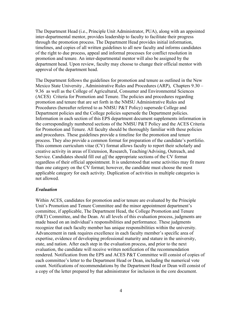The Department Head (i.e., Principle Unit Administrator, PUA), along with an appointed inter-departmental mentor, provides leadership to faculty to facilitate their progress through the promotion process. The Department Head provides initial information, timelines, and copies of all written guidelines to all new faculty and informs candidates of the right to due process, appeal and informal processes for conflict resolution in promotion and tenure. An inter-departmental mentor will also be assigned by the department head. Upon review, faculty may choose to change their official mentor with approval of the department head.

The Department follows the guidelines for promotion and tenure as outlined in the New Mexico State University , Administrative Rules and Procedures (ARP), Chapters 9.30 – 9.36 as well as the College of Agricultural, Consumer and Environmental Sciences (ACES) Criteria for Promotion and Tenure. The policies and procedures regarding promotion and tenure that are set forth in the NMSU Administrative Rules and Procedures (hereafter referred to as NMSU P&T Policy) supersede College and Department policies and the College policies supersede the Department policies. Information in each section of this EPS department document supplements information in the correspondingly numbered sections of the NMSU P&T Policy and the ACES Criteria for Promotion and Tenure. All faculty should be thoroughly familiar with these policies and procedures. These guidelines provide a timeline for the promotion and tenure process. They also provide a common format for preparation of the candidate's portfolio. This common curriculum vitae (CV) format allows faculty to report their scholarly and creative activity in areas of Extension, Research, Teaching/Advising, Outreach, and Service. Candidates should fill out *all* the appropriate sections of the CV format regardless of their official appointment. It is understood that some activities may fit more than one category on the CV format; however, the candidate must choose the most applicable category for each activity. Duplication of activities in multiple categories is not allowed.

#### *Evaluation*

 expertise, evidence of developing professional maturity and stature in the university, state, and nation. After each step in the evaluation process, and prior to the next rendered. Notification from the EPS and ACES P&T Committee will consist of copies of Within ACES, candidates for promotion and/or tenure are evaluated by the Principle Unit's Promotion and Tenure Committee and the minor appointment department's committee, if applicable, The Department Head, the College Promotion and Tenure (P&T) Committee, and the Dean. At all levels of this evaluation process, judgments are made based on an individual's responsibilities and performance. These judgments recognize that each faculty member has unique responsibilities within the university. Advancement in rank requires excellence in each faculty member's specific area of evaluation, the candidate will receive written notification of the recommendation each committee's letter to the Department Head or Dean, including the numerical vote count. Notifications of recommendations by the Department Head or Dean will consist of a copy of the letter prepared by that administrator for inclusion in the core document.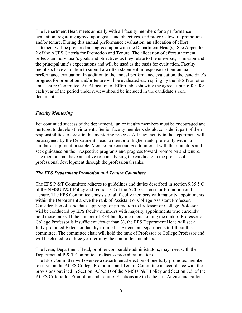The Department Head meets annually with all faculty members for a performance and/or tenure. During this annual performance evaluation, an allocation of effort performance evaluation. In addition to the annual performance evaluation, the candidate's evaluation, regarding agreed upon goals and objectives, and progress toward promotion statement will be prepared and agreed upon with the Department Head(s). See Appendix 2 of the ACES Criteria for Promotion and Tenure. The allocation of effort statement reflects an individual's goals and objectives as they relate to the university's mission and the principal unit's expectations and will be used as the basis for evaluation. Faculty members have an option to submit a written statement in response to their annual progress for promotion and/or tenure will be evaluated each spring by the EPS Promotion and Tenure Committee. An Allocation of Effort table showing the agreed-upon effort for each year of the period under review should be included in the candidate's core document.

### *Faculty Mentoring*

For continued success of the department, junior faculty members must be encouraged and nurtured to develop their talents. Senior faculty members should consider it part of their responsibilities to assist in this mentoring process. All new faculty in the department will be assigned, by the Department Head, a mentor of higher rank, preferably within a similar discipline if possible. Mentees are encouraged to interact with their mentors and seek guidance on their respective programs and progress toward promotion and tenure. The mentor shall have an active role in advising the candidate in the process of professional development through the professional ranks.

#### *The EPS Department Promotion and Tenure Committee*

The EPS P &T Committee adheres to guidelines and duties described in section 9.35.5 C of the NMSU P&T Policy and section 7.2 of the ACES Criteria for Promotion and Tenure. The EPS Committee consists of all faculty members with majority appointments within the Department above the rank of Assistant or College Assistant Professor. Consideration of candidates applying for promotion to Professor or College Professor will be conducted by EPS faculty members with majority appointments who currently hold those ranks. If the number of EPS faculty members holding the rank of Professor or College Professor is insufficient (fewer than 3), the EPS Department Head will seek fully-promoted Extension faculty from other Extension Departments to fill out this committee. The committee chair will hold the rank of Professor or College Professor and will be elected to a three year term by the committee members.

The Dean, Department Head, or other comparable administrators, may meet with the Departmental P & T Committee to discuss procedural matters.

 to serve on the ACES College Promotion and Tenure Committee in accordance with the provisions outlined in Section 9.35.5 D of the NMSU P&T Policy and Section 7.3. of the The EPS Committee will oversee a departmental election of one fully-promoted member ACES Criteria for Promotion and Tenure. Elections are to be held in August and ballots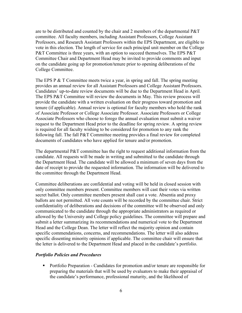are to be distributed and counted by the chair and 2 members of the departmental P&T committee. All faculty members, including Assistant Professors, College Assistant Professors, and Research Assistant Professors within the EPS Department, are eligible to vote in this election. The length of service for each principal unit member on the College P&T Committee is three years, with an option to succeed themselves. The EPS P&T Committee Chair and Department Head may be invited to provide comments and input on the candidate going up for promotion/tenure prior to opening deliberations of the College Committee.

The EPS P & T Committee meets twice a year, in spring and fall. The spring meeting provides an annual review for all Assistant Professors and College Assistant Professors. Candidates' up-to-date review documents will be due to the Department Head in April. The EPS P&T Committee will review the documents in May. This review process will provide the candidate with a written evaluation on their progress toward promotion and tenure (if applicable). Annual review is optional for faculty members who hold the rank of Associate Professor or College Associate Professor. Associate Professors or College Associate Professors who choose to forego the annual evaluation must submit a waiver request to the Department Head prior to the deadline for spring review. A spring review is required for all faculty wishing to be considered for promotion to any rank the following fall. The fall P&T Committee meeting provides a final review for completed documents of candidates who have applied for tenure and/or promotion.

 the Department Head. The candidate will be allowed a minimum of seven days from the the committee through the Department Head. The departmental P&T committee has the right to request additional information from the candidate. All requests will be made in writing and submitted to the candidate through date of receipt to provide the requested information. The information will be delivered to

 communicated to the candidate through the appropriate administrators as required or submit a letter summarizing its recommendations and numerical vote to the Department Head and the College Dean. The letter will reflect the majority opinion and contain the letter is delivered to the Department Head and placed in the candidate's portfolio. Committee deliberations are confidential and voting will be held in closed session with only committee members present. Committee members will cast their votes via written secret ballot. Only committee members present shall cast a vote. Absentia and proxy ballots are not permitted. All vote counts will be recorded by the committee chair. Strict confidentiality of deliberations and decisions of the committee will be observed and only allowed by the University and College policy guidelines. The committee will prepare and specific commendations, concerns, and recommendations. The letter will also address specific dissenting minority opinions if applicable. The committee chair will ensure that

#### *Portfolio Policies and Procedures*

• Portfolio Preparation - Candidates for promotion and/or tenure are responsible for preparing the materials that will be used by evaluators to make their appraisal of the candidate's performance, professional maturity, and the likelihood of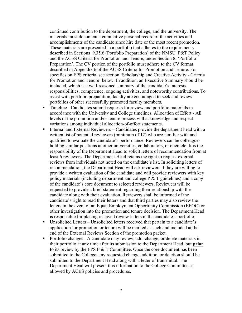accomplishments of the candidate since hire date or the most recent promotion. described in Sections 9.35.6 (Portfolio Preparation) of the NMSU P&T Policy and the ACES Criteria for Promotion and Tenure, under Section 8. 'Portfolio described in Appendix 6 of the ACES Criteria for Promotion and Tenure. For specifics on EPS criteria, see section 'Scholarship and Creative Activity - Criteria for Promotion and Tenure' below. In addition, an Executive Summary should be portfolios of other successfully promoted faculty members. continued contribution to the department, the college, and the university. The materials must document a cumulative personal record of the activities and These materials are presented in a portfolio that adheres to the requirements Preparation'. The CV portion of the portfolio must adhere to the CV format included, which is a well-reasoned summary of the candidate's interests, responsibilities, competence, ongoing activities, and noteworthy contributions. To assist with portfolio preparation, faculty are encouraged to seek and review

- Timeline Candidates submit requests for review and portfolio materials in accordance with the University and College timelines*.* Allocation of Effort - All levels of the promotion and/or tenure process will acknowledge and respect variations among individual allocation-of-effort statements.
- Internal and External Reviewers Candidates provide the department head with a written list of potential reviewers (minimum of 12) who are familiar with and qualified to evaluate the candidate's performance. Reviewers can be colleagues holding similar positions at other universities, collaborators, or clientele. It is the responsibility of the Department Head to solicit letters of recommendation from at least 6 reviewers. The Department Head retains the right to request external reviews from individuals not noted on the candidate's list. In soliciting letters of recommendation, the Department Head will ask reviewers if they are willing to provide a written evaluation of the candidate and will provide reviewers with key policy materials (including department and college  $P \& T$  guidelines) and a copy of the candidate's core document to selected reviewers. Reviewers will be requested to provide a brief statement regarding their relationship with the candidate along with their evaluation. Reviewers shall be informed of the candidate's right to read their letters and that third parties may also review the letters in the event of an Equal Employment Opportunity Commission (EEOC) or other investigation into the promotion and tenure decision. The Department Head is responsible for placing received review letters in the candidate's portfolio.
- Unsolicited Letters Unsolicited letters received that pertain to a candidate's application for promotion or tenure will be marked as such and included at the end of the External Reviews Section of the promotion packet.
- Portfolio changes A candidate may review, add, change, or delete materials in their portfolio at any time after its submission to the Department Head, but **prior to** its review by the EPS P & T Committee. Once the core document has been submitted to the College, any requested change, addition, or deletion should be submitted to the Department Head along with a letter of transmittal. The Department Head will present this information to the College Committee as allowed by ACES policies and procedures.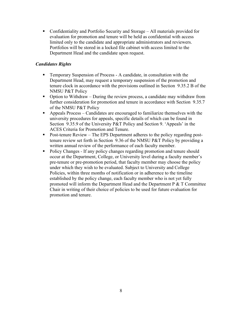• Confidentiality and Portfolio Security and Storage  $-$  All materials provided for evaluation for promotion and tenure will be held as confidential with access limited only to the candidate and appropriate administrators and reviewers. Portfolios will be stored in a locked file cabinet with access limited to the Department Head and the candidate upon request.

# *Candidates Rights*

- Temporary Suspension of Process A candidate, in consultation with the Department Head, may request a temporary suspension of the promotion and tenure clock in accordance with the provisions outlined in Section 9.35.2 B of the NMSU P&T Policy
- Option to Withdraw During the review process, a candidate may withdraw from further consideration for promotion and tenure in accordance with Section 9.35.7 of the NMSU P&T Policy
- Appeals Process Candidates are encouraged to familiarize themselves with the university procedures for appeals, specific details of which can be found in Section 9.35.9 of the University P&T Policy and Section 9. 'Appeals' in the ACES Criteria for Promotion and Tenure.
- Post-tenure Review The EPS Department adheres to the policy regarding posttenure review set forth in Section 9.36 of the NMSU P&T Policy by providing a written annual review of the performance of each faculty member.
- Policy Changes If any policy changes regarding promotion and tenure should occur at the Department, College, or University level during a faculty member's pre-tenure or pre-promotion period, that faculty member may choose the policy under which they wish to be evaluated. Subject to University and College Policies, within three months of notification or in adherence to the timeline established by the policy change, each faculty member who is not yet fully promoted will inform the Department Head and the Department P & T Committee Chair in writing of their choice of policies to be used for future evaluation for promotion and tenure.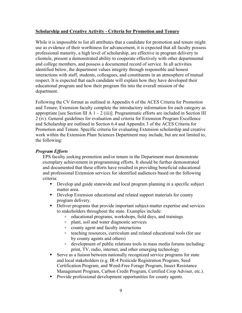## **Scholarship and Creative Activity - Criteria for Promotion and Tenure**

 While it is impossible to list all attributes that a candidate for promotion and tenure might department. use as evidence of their worthiness for advancement, it is expected that all faculty possess professional maturity, a high level of scholarship, are effective in program delivery to clientele, present a demonstrated ability to cooperate effectively with other departmental and college members, and possess a documented record of service. In all activities identified below, the department values integrity through responsible and honest interactions with staff, students, colleagues, and constituents in an atmosphere of mutual respect. It is expected that each candidate will explain how they have developed their educational program and how their program fits into the overall mission of the

department.<br>Following the CV format as outlined in Appendix 6 of the ACES Criteria for Promotion and Tenure, Extension faculty complete the introductory information for each category as appropriate [see Section III A  $1 - 2$  (iii)]. Programmatic efforts are included in Section III 2 (iv). General guidelines for evaluation and criteria for Extension Program Excellence and Scholarship are outlined in Section 6.4 and Appendix 3 of the ACES Criteria for Promotion and Tenure. Specific criteria for evaluating Extension scholarship and creative work within the Extension Plant Sciences Department may include, but are not limited to, the following:

### *Program Efforts*

EPS faculty seeking promotion and/or tenure in the Department must demonstrate exemplary achievement in programming efforts. It should be further demonstrated and documented that these efforts have resulted in providing beneficial educational and professional Extension services for identified audiences based on the following criteria:

- Develop and guide statewide and local program planning in a specific subject matter area.
- Develop Extension educational and related support materials for county program delivery.
- Deliver programs that provide important subject-matter expertise and services to stakeholders throughout the state. Examples include:
	- educational programs, workshops, field days, and trainings
	- plant, soil and water diagnostic services
	- county agent and faculty interactions
	- teaching resources, curriculum and related educational tools (for use by county agents and others)
	- development of public relations tools in mass media forums including: print, TV, radio, internet, and other emerging technology
- Serve as a liaison between nationally recognized service programs for state and local stakeholders (e.g. IR-4 Pesticide Registration Program, Seed Certification Program, and Weed-Free Forage Program, Insect Resistance Management Program, Carbon Credit Program, Certified Crop Adviser, etc.).
- Provide professional development opportunities for county agents.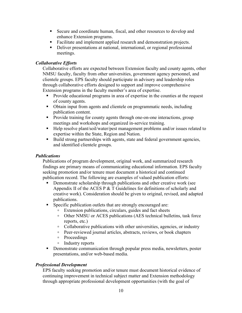- Secure and coordinate human, fiscal, and other resources to develop and enhance Extension programs.
- Facilitate and implement applied research and demonstration projects.
- Deliver presentations at national, international, or regional professional meetings.

# *Collaborative Efforts*

Collaborative efforts are expected between Extension faculty and county agents, other NMSU faculty, faculty from other universities, government agency personnel, and clientele groups. EPS faculty should participate in advisory and leadership roles through collaborative efforts designed to support and improve comprehensive Extension programs in the faculty member's area of expertise.

- Provide educational programs in area of expertise in the counties at the request of county agents.
- Obtain input from agents and clientele on programmatic needs, including publication content.
- Provide training for county agents through one-on-one interactions, group meetings and workshops and organized in-service training.
- Help resolve plant/soil/water/pest management problems and/or issues related to expertise within the State, Region and Nation.
- Build strong partnerships with agents, state and federal government agencies, and identified clientele groups.

# *Publications*

 seeking promotion and/or tenure must document a historical and continued Publications of program development, original work, and summarized research findings are primary means of communicating educational information. EPS faculty publication record. The following are examples of valued publication efforts:

- Demonstrate scholarship through publications and other creative work (see Appendix II of the ACES P & T Guidelines for definitions of scholarly and creative work). Consideration should be given to original, revised, and adapted publications.
- Specific publication outlets that are strongly encouraged are:
	- Extension publications, circulars, guides and fact sheets
	- Other NMSU or ACES publications (AES technical bulletins, task force reports, etc.)
	- Collaborative publications with other universities, agencies, or industry
	- Peer-reviewed journal articles, abstracts, reviews, or book chapters
	- Proceedings
	- Industry reports
- Demonstrate communication through popular press media, newsletters, poster presentations, and/or web-based media.

# *Professional Development*

EPS faculty seeking promotion and/or tenure must document historical evidence of continuing improvement in technical subject matter and Extension methodology through appropriate professional development opportunities (with the goal of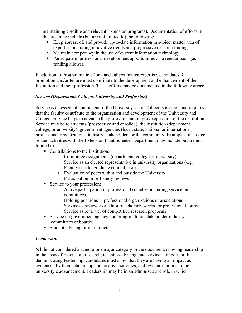maintaining credible and relevant Extension programs). Documentation of efforts in the area may include (but are not limited to) the following:

- Keep abreast of, and provide up-to-date information in subject matter area of expertise, including innovative trends and progressive research findings.
- Maintain competency in the use of current information technology.
- Participate in professional development opportunities on a regular basis (as funding allows).

In addition to Programmatic efforts and subject matter expertise, candidates for promotion and/or tenure must contribute to the development and enhancement of the Institution and their profession. These efforts may be documented in the following areas:

# *Service (Department, College, University and Profession)*

Service is an essential component of the University's and College's mission and requires that the faculty contribute to the organization and development of the University and College. Service helps to advance the profession and improve operation of the institution. Service may be to students (prospective and enrolled), the institution (department, college, or university), government agencies (local, state, national or international), professional organizations, industry, stakeholders or the community. Examples of service related activities with the Extension Plant Sciences Department may include but are not limited to:

- Contributions to the institution:
	- Committee assignments (department, college or university)
	- Service as an elected representative in university organizations (e.g. Faculty senate, graduate council, etc.)
	- Evaluation of peers within and outside the University
	- Participation in self-study reviews
- Service to your profession:
	- Active participation in professional societies including service on committees.
	- Holding positions in professional organizations or associations
	- Service as reviewer or editor of scholarly works for professional journals
	- Service as reviewer of competitive research proposals
- Service on government agency and/or agricultural stakeholder industry committees or boards
- Student advising or recruitment

# *Leadership*

While not considered a stand-alone major category in the document, showing leadership in the areas of Extension, research, teaching/advising, and service is important. In demonstrating leadership, candidates must show that they are having an impact as evidenced by their scholarship and creative activities, and by contributions to the university's advancement. Leadership may be in an administrative role in which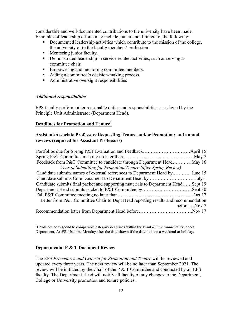Examples of leadership efforts may include, but are not limited to, the following: considerable and well-documented contributions to the university have been made.

- Documented leadership activities which contribute to the mission of the college, the university or to the faculty members' profession.
- Mentoring junior faculty.
- Demonstrated leadership in service related activities, such as serving as committee chair.
- Empowering and mentoring committee members.
- Aiding a committee's decision-making process.
- Administrative oversight responsibilities

# *Additional responsibilities*

 Principle Unit Administrator (Department Head). EPS faculty perform other reasonable duties and responsibilities as assigned by the

# **Deadlines for Promotion and Tenure**<sup>1</sup>

# **reviews (required for Assistant Professors) Assistant/Associate Professors Requesting Tenure and/or Promotion; and annual**

| Feedback from P&T Committee to candidate through Department HeadMay 16            |             |
|-----------------------------------------------------------------------------------|-------------|
| Year of Submitting for Promotion/Tenure (after Spring Review)                     |             |
| Candidate submits names of external references to Department Head byJune 15       |             |
| Candidate submits Core Document to Department Head byJuly 1                       |             |
| Candidate submits final packet and supporting materials to Department HeadSept 19 |             |
|                                                                                   |             |
|                                                                                   |             |
| Letter from P&T Committee Chair to Dept Head reporting results and recommendation |             |
|                                                                                   | beforeNov 7 |
|                                                                                   |             |

<sup>1</sup>Deadlines correspond to comparable category deadlines within the Plant  $& Environmental Sciences$ Department, ACES. Use first Monday after the date shown if the date falls on a weekend or holiday.

# **Departmental P & T Document Review**

The EPS *Procedures and Criteria for Promotion and Tenure* will be reviewed and updated every three years. The next review will be no later than September 2021. The review will be initiated by the Chair of the  $P \& T$  Committee and conducted by all EPS faculty. The Department Head will notify all faculty of any changes to the Department, College or University promotion and tenure policies.